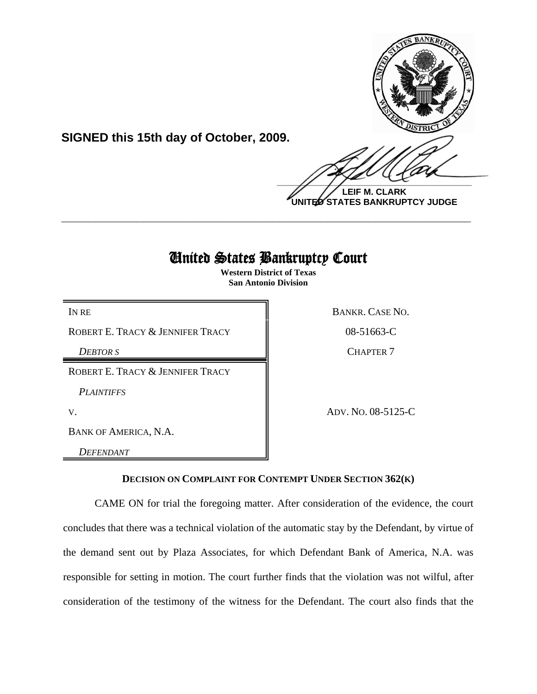

**LEIF M. CLARK UNITED STATES BANKRUPTCY JUDGE**

## United States Bankruptcy Court

**\_\_\_\_\_\_\_\_\_\_\_\_\_\_\_\_\_\_\_\_\_\_\_\_\_\_\_\_\_\_\_\_\_\_\_\_\_\_\_\_\_\_\_\_\_\_\_\_\_\_\_\_\_\_\_\_\_\_\_\_**

**Western District of Texas San Antonio Division**

ROBERT E. TRACY & JENNIFER TRACY 8 08-51663-C

**SIGNED this 15th day of October, 2009.**

*DEBTOR S* CHAPTER 7

ROBERT E. TRACY & JENNIFER TRACY

*PLAINTIFFS* 

BANK OF AMERICA, N.A.

*DEFENDANT* 

IN RE BANKR. CASE NO.

V. ADV. NO. 08-5125-C

## **DECISION ON COMPLAINT FOR CONTEMPT UNDER SECTION 362(K)**

CAME ON for trial the foregoing matter. After consideration of the evidence, the court concludes that there was a technical violation of the automatic stay by the Defendant, by virtue of the demand sent out by Plaza Associates, for which Defendant Bank of America, N.A. was responsible for setting in motion. The court further finds that the violation was not wilful, after consideration of the testimony of the witness for the Defendant. The court also finds that the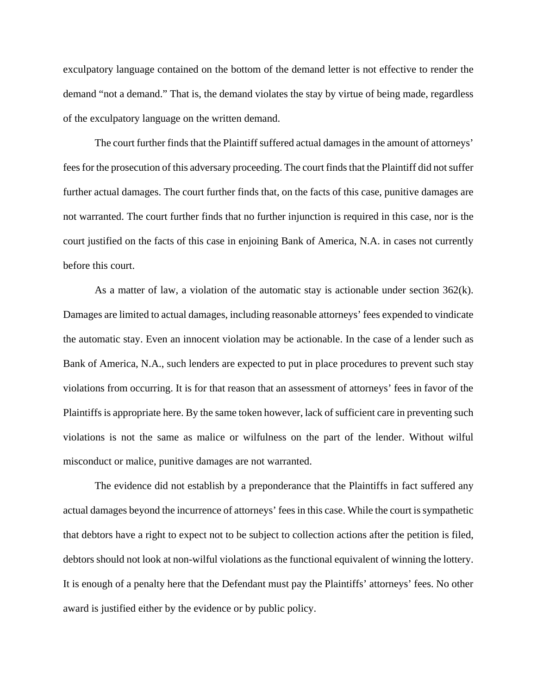exculpatory language contained on the bottom of the demand letter is not effective to render the demand "not a demand." That is, the demand violates the stay by virtue of being made, regardless of the exculpatory language on the written demand.

The court further finds that the Plaintiff suffered actual damages in the amount of attorneys' fees for the prosecution of this adversary proceeding. The court finds that the Plaintiff did not suffer further actual damages. The court further finds that, on the facts of this case, punitive damages are not warranted. The court further finds that no further injunction is required in this case, nor is the court justified on the facts of this case in enjoining Bank of America, N.A. in cases not currently before this court.

As a matter of law, a violation of the automatic stay is actionable under section  $362(k)$ . Damages are limited to actual damages, including reasonable attorneys' fees expended to vindicate the automatic stay. Even an innocent violation may be actionable. In the case of a lender such as Bank of America, N.A., such lenders are expected to put in place procedures to prevent such stay violations from occurring. It is for that reason that an assessment of attorneys' fees in favor of the Plaintiffs is appropriate here. By the same token however, lack of sufficient care in preventing such violations is not the same as malice or wilfulness on the part of the lender. Without wilful misconduct or malice, punitive damages are not warranted.

The evidence did not establish by a preponderance that the Plaintiffs in fact suffered any actual damages beyond the incurrence of attorneys' fees in this case. While the court is sympathetic that debtors have a right to expect not to be subject to collection actions after the petition is filed, debtors should not look at non-wilful violations as the functional equivalent of winning the lottery. It is enough of a penalty here that the Defendant must pay the Plaintiffs' attorneys' fees. No other award is justified either by the evidence or by public policy.